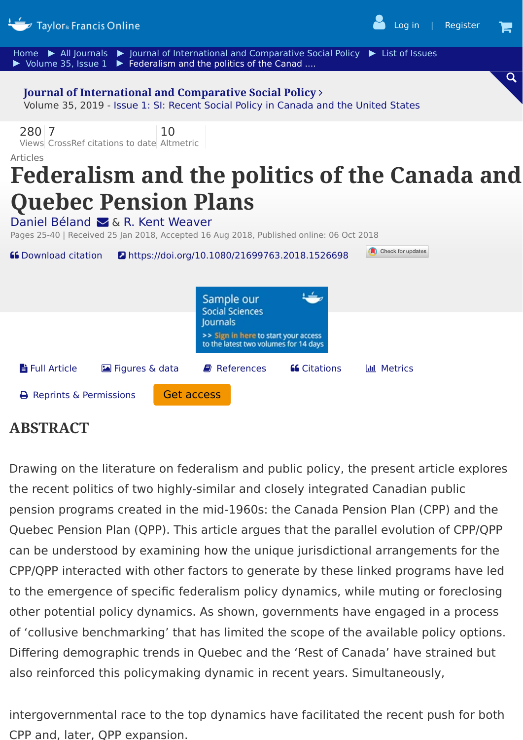

## **ABSTRACT**

Drawing on the literature on federalism and public policy, the present article explores the recent politics of two highly-similar and closely integrated Canadian public pension programs created in the mid-1960s: the Canada Pension Plan (CPP) and the Quebec Pension Plan (QPP). This article argues that the parallel evolution of CPP/QPP can be understood by examining how the unique jurisdictional arrangements for the CPP/QPP interacted with other factors to generate by these linked programs have led to the emergence of specific federalism policy dynamics, while muting or foreclosing other potential policy dynamics. As shown, governments have engaged in a process of 'collusive benchmarking' that has limited the scope of the available policy options. Differing demographic trends in Quebec and the 'Rest of Canada' have strained but also reinforced this policymaking dynamic in recent years. Simultaneously,

intergovernmental race to the top dynamics have facilitated the recent push for both CPP and, later, QPP expansion.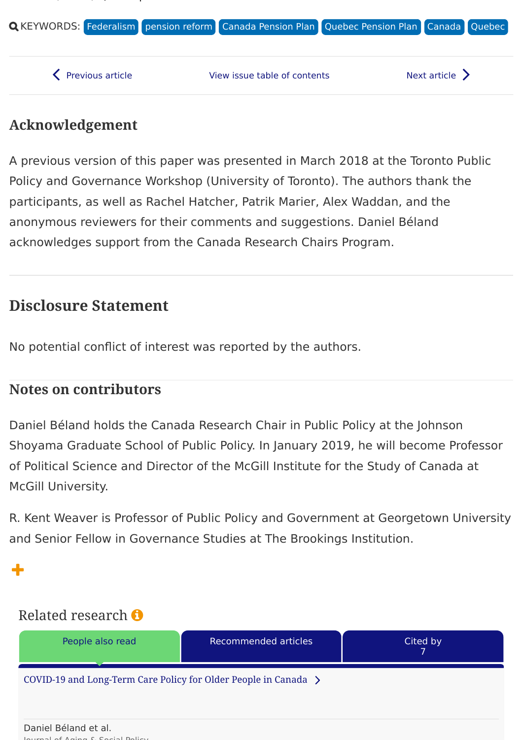

## **Acknowledgement**

, , Q p

A previous version of this paper was presented in March 2018 at the Toronto Public Policy and Governance Workshop (University of Toronto). The authors thank the participants, as well as Rachel Hatcher, Patrik Marier, Alex Waddan, and the anonymous reviewers for their comments and suggestions. Daniel Béland acknowledges support from the Canada Research Chairs Program.

# **Disclosure Statement**

No potential conflict of interest was reported by the authors.

### **Notes on contributors**

Daniel Béland holds the Canada Research Chair in Public Policy at the Johnson Shoyama Graduate School of Public Policy. In January 2019, he will become Professor of Political Science and Director of the McGill Institute for the Study of Canada at McGill University.

R. Kent Weaver is Professor of Public Policy and Government at Georgetown University and Senior Fellow in Governance Studies at The Brookings Institution.

<span id="page-1-0"></span>